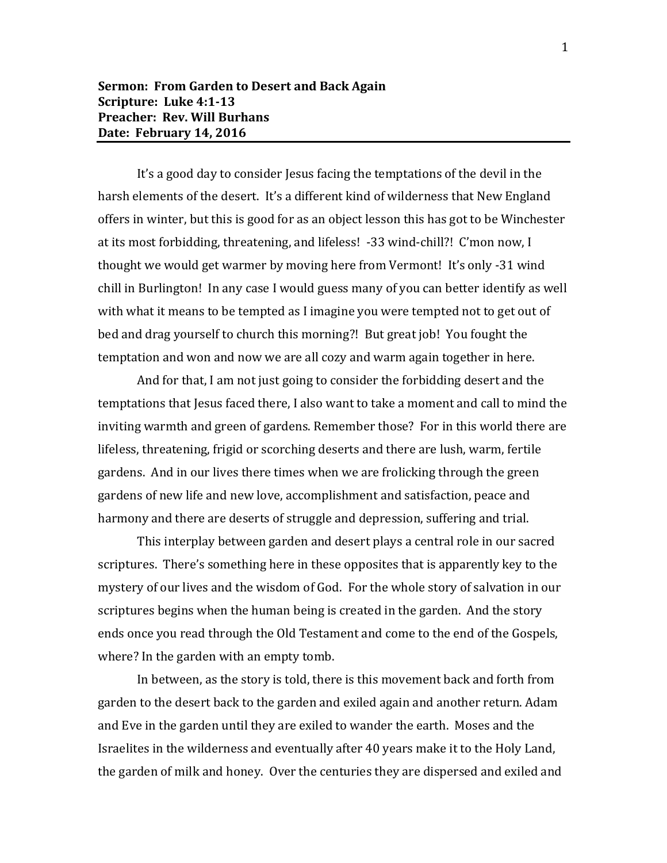It's a good day to consider Jesus facing the temptations of the devil in the harsh elements of the desert. It's a different kind of wilderness that New England offers in winter, but this is good for as an object lesson this has got to be Winchester at its most forbidding, threatening, and lifeless! -33 wind-chill?! C'mon now, I thought we would get warmer by moving here from Vermont! It's only -31 wind chill in Burlington! In any case I would guess many of you can better identify as well with what it means to be tempted as I imagine you were tempted not to get out of bed and drag yourself to church this morning?! But great job! You fought the temptation and won and now we are all cozy and warm again together in here.

And for that, I am not just going to consider the forbidding desert and the temptations that Jesus faced there, I also want to take a moment and call to mind the inviting warmth and green of gardens. Remember those? For in this world there are lifeless, threatening, frigid or scorching deserts and there are lush, warm, fertile gardens. And in our lives there times when we are frolicking through the green gardens of new life and new love, accomplishment and satisfaction, peace and harmony and there are deserts of struggle and depression, suffering and trial.

This interplay between garden and desert plays a central role in our sacred scriptures. There's something here in these opposites that is apparently key to the mystery of our lives and the wisdom of God. For the whole story of salvation in our scriptures begins when the human being is created in the garden. And the story ends once you read through the Old Testament and come to the end of the Gospels, where? In the garden with an empty tomb.

In between, as the story is told, there is this movement back and forth from garden to the desert back to the garden and exiled again and another return. Adam and Eve in the garden until they are exiled to wander the earth. Moses and the Israelites in the wilderness and eventually after 40 years make it to the Holy Land, the garden of milk and honey. Over the centuries they are dispersed and exiled and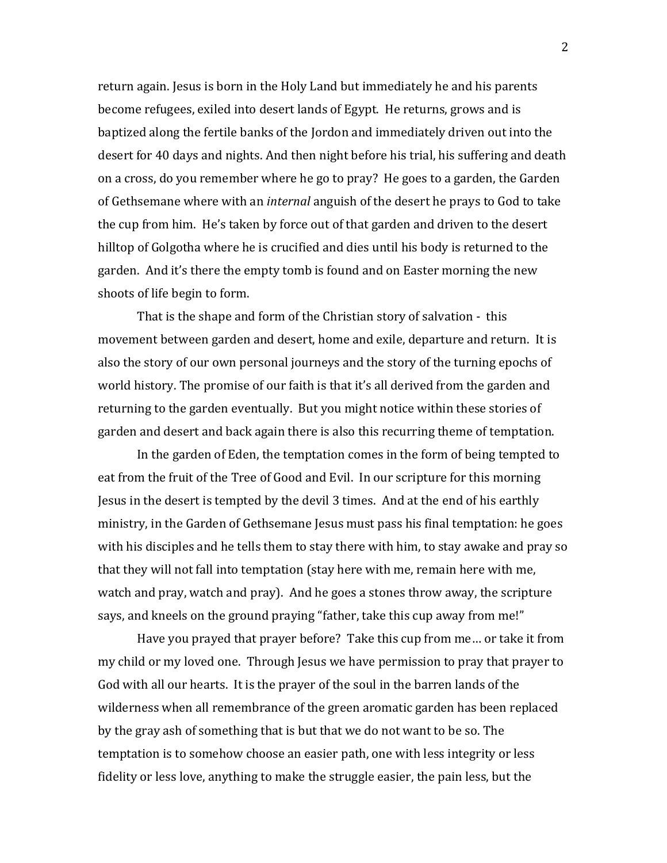return again. Jesus is born in the Holy Land but immediately he and his parents become refugees, exiled into desert lands of Egypt. He returns, grows and is baptized along the fertile banks of the Jordon and immediately driven out into the desert for 40 days and nights. And then night before his trial, his suffering and death on a cross, do you remember where he go to pray? He goes to a garden, the Garden of Gethsemane where with an *internal* anguish of the desert he prays to God to take the cup from him. He's taken by force out of that garden and driven to the desert hilltop of Golgotha where he is crucified and dies until his body is returned to the garden. And it's there the empty tomb is found and on Easter morning the new shoots of life begin to form.

That is the shape and form of the Christian story of salvation - this movement between garden and desert, home and exile, departure and return. It is also the story of our own personal journeys and the story of the turning epochs of world history. The promise of our faith is that it's all derived from the garden and returning to the garden eventually. But you might notice within these stories of garden and desert and back again there is also this recurring theme of temptation.

In the garden of Eden, the temptation comes in the form of being tempted to eat from the fruit of the Tree of Good and Evil. In our scripture for this morning Jesus in the desert is tempted by the devil 3 times. And at the end of his earthly ministry, in the Garden of Gethsemane Jesus must pass his final temptation: he goes with his disciples and he tells them to stay there with him, to stay awake and pray so that they will not fall into temptation (stay here with me, remain here with me, watch and pray, watch and pray). And he goes a stones throw away, the scripture says, and kneels on the ground praying "father, take this cup away from me!"

Have you prayed that prayer before? Take this cup from me… or take it from my child or my loved one. Through Jesus we have permission to pray that prayer to God with all our hearts. It is the prayer of the soul in the barren lands of the wilderness when all remembrance of the green aromatic garden has been replaced by the gray ash of something that is but that we do not want to be so. The temptation is to somehow choose an easier path, one with less integrity or less fidelity or less love, anything to make the struggle easier, the pain less, but the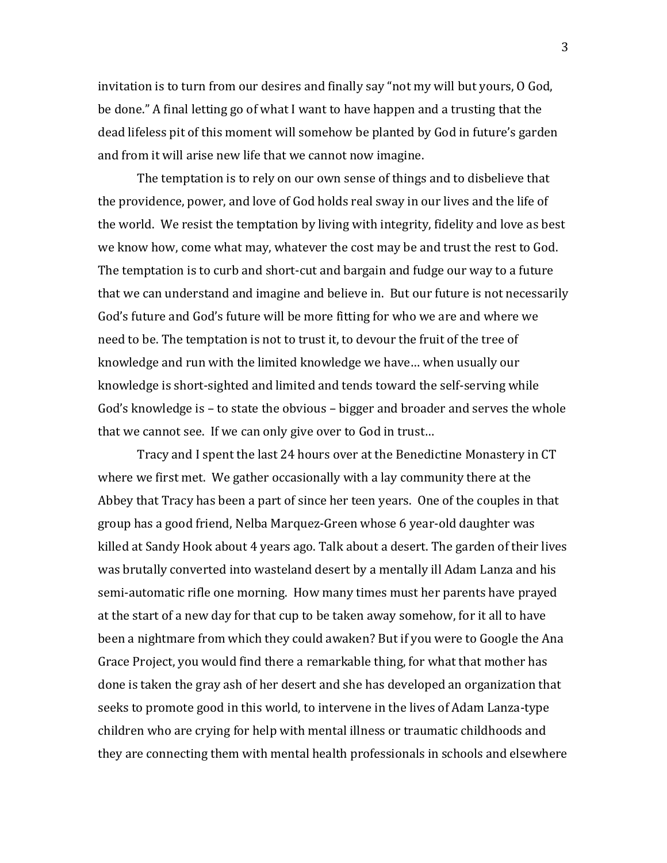invitation is to turn from our desires and finally say "not my will but yours, O God, be done." A final letting go of what I want to have happen and a trusting that the dead lifeless pit of this moment will somehow be planted by God in future's garden and from it will arise new life that we cannot now imagine.

The temptation is to rely on our own sense of things and to disbelieve that the providence, power, and love of God holds real sway in our lives and the life of the world. We resist the temptation by living with integrity, fidelity and love as best we know how, come what may, whatever the cost may be and trust the rest to God. The temptation is to curb and short-cut and bargain and fudge our way to a future that we can understand and imagine and believe in. But our future is not necessarily God's future and God's future will be more fitting for who we are and where we need to be. The temptation is not to trust it, to devour the fruit of the tree of knowledge and run with the limited knowledge we have… when usually our knowledge is short-sighted and limited and tends toward the self-serving while God's knowledge is – to state the obvious – bigger and broader and serves the whole that we cannot see. If we can only give over to God in trust…

Tracy and I spent the last 24 hours over at the Benedictine Monastery in CT where we first met. We gather occasionally with a lay community there at the Abbey that Tracy has been a part of since her teen years. One of the couples in that group has a good friend, Nelba Marquez-Green whose 6 year-old daughter was killed at Sandy Hook about 4 years ago. Talk about a desert. The garden of their lives was brutally converted into wasteland desert by a mentally ill Adam Lanza and his semi-automatic rifle one morning. How many times must her parents have prayed at the start of a new day for that cup to be taken away somehow, for it all to have been a nightmare from which they could awaken? But if you were to Google the Ana Grace Project, you would find there a remarkable thing, for what that mother has done is taken the gray ash of her desert and she has developed an organization that seeks to promote good in this world, to intervene in the lives of Adam Lanza-type children who are crying for help with mental illness or traumatic childhoods and they are connecting them with mental health professionals in schools and elsewhere